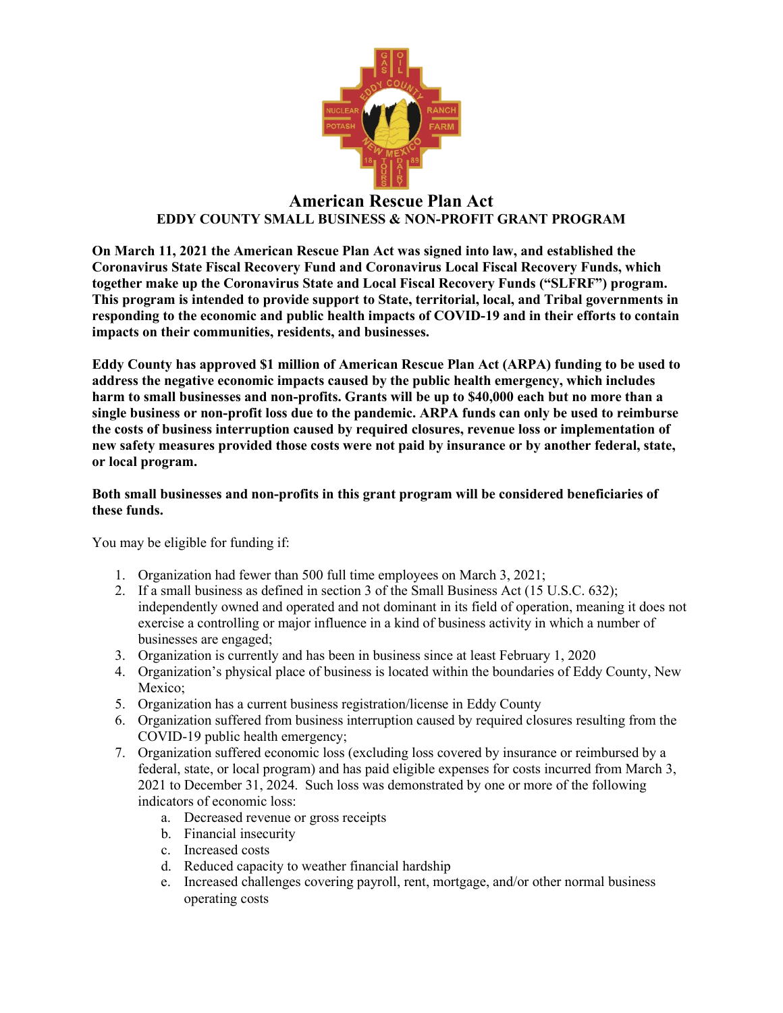

## **American Rescue Plan Act EDDY COUNTY SMALL BUSINESS & NON-PROFIT GRANT PROGRAM**

**On March 11, 2021 the American Rescue Plan Act was signed into law, and established the Coronavirus State Fiscal Recovery Fund and Coronavirus Local Fiscal Recovery Funds, which together make up the Coronavirus State and Local Fiscal Recovery Funds ("SLFRF") program. This program is intended to provide support to State, territorial, local, and Tribal governments in responding to the economic and public health impacts of COVID-19 and in their efforts to contain impacts on their communities, residents, and businesses.**

**Eddy County has approved \$1 million of American Rescue Plan Act (ARPA) funding to be used to address the negative economic impacts caused by the public health emergency, which includes harm to small businesses and non-profits. Grants will be up to \$40,000 each but no more than a single business or non-profit loss due to the pandemic. ARPA funds can only be used to reimburse the costs of business interruption caused by required closures, revenue loss or implementation of new safety measures provided those costs were not paid by insurance or by another federal, state, or local program.**

## **Both small businesses and non-profits in this grant program will be considered beneficiaries of these funds.**

You may be eligible for funding if:

- 1. Organization had fewer than 500 full time employees on March 3, 2021;
- 2. If a small business as defined in section 3 of the Small Business Act (15 U.S.C. 632); independently owned and operated and not dominant in its field of operation, meaning it does not exercise a controlling or major influence in a kind of business activity in which a number of businesses are engaged;
- 3. Organization is currently and has been in business since at least February 1, 2020
- 4. Organization's physical place of business is located within the boundaries of Eddy County, New Mexico:
- 5. Organization has a current business registration/license in Eddy County
- 6. Organization suffered from business interruption caused by required closures resulting from the COVID-19 public health emergency;
- 7. Organization suffered economic loss (excluding loss covered by insurance or reimbursed by a federal, state, or local program) and has paid eligible expenses for costs incurred from March 3, 2021 to December 31, 2024. Such loss was demonstrated by one or more of the following indicators of economic loss:
	- a. Decreased revenue or gross receipts
	- b. Financial insecurity
	- c. Increased costs
	- d. Reduced capacity to weather financial hardship
	- e. Increased challenges covering payroll, rent, mortgage, and/or other normal business operating costs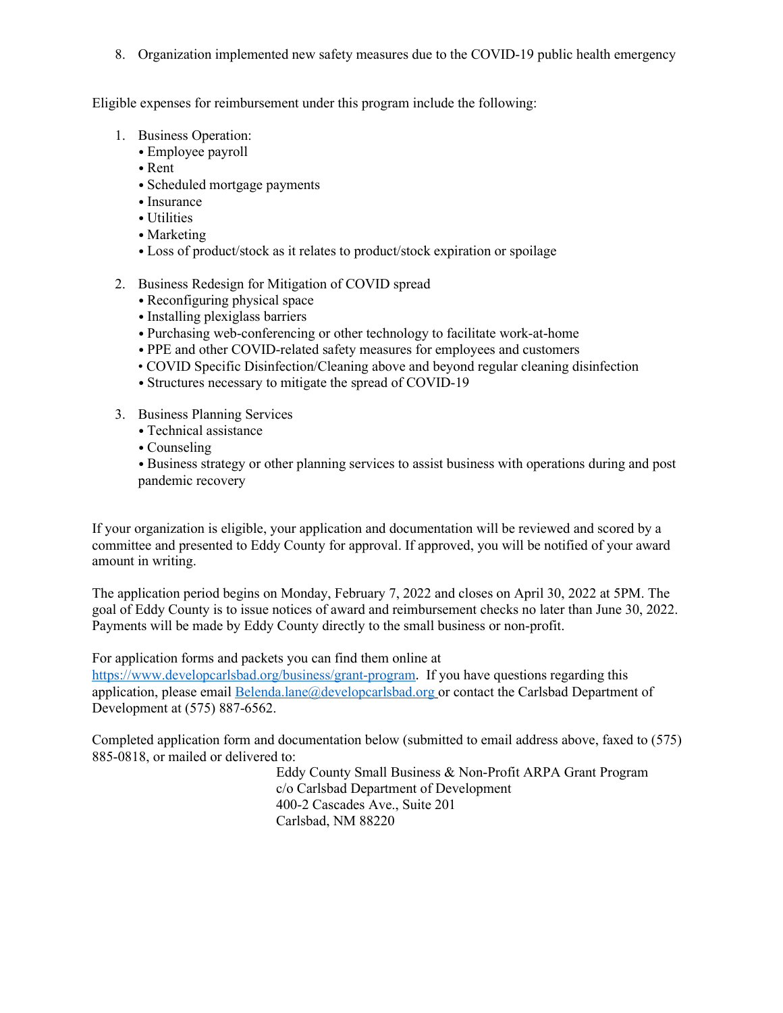8. Organization implemented new safety measures due to the COVID-19 public health emergency

Eligible expenses for reimbursement under this program include the following:

- 1. Business Operation:
	- Employee payroll
	- Rent
	- Scheduled mortgage payments
	- Insurance
	- Utilities
	- Marketing
	- Loss of product/stock as it relates to product/stock expiration or spoilage
- 2. Business Redesign for Mitigation of COVID spread
	- Reconfiguring physical space
	- Installing plexiglass barriers
	- Purchasing web-conferencing or other technology to facilitate work-at-home
	- PPE and other COVID-related safety measures for employees and customers
	- COVID Specific Disinfection/Cleaning above and beyond regular cleaning disinfection
	- Structures necessary to mitigate the spread of COVID-19
- 3. Business Planning Services
	- Technical assistance
	- Counseling

• Business strategy or other planning services to assist business with operations during and post pandemic recovery

If your organization is eligible, your application and documentation will be reviewed and scored by a committee and presented to Eddy County for approval. If approved, you will be notified of your award amount in writing.

The application period begins on Monday, February 7, 2022 and closes on April 30, 2022 at 5PM. The goal of Eddy County is to issue notices of award and reimbursement checks no later than June 30, 2022. Payments will be made by Eddy County directly to the small business or non-profit.

For application forms and packets you can find them online at

<https://www.developcarlsbad.org/business/grant-program>. If you have questions regarding this application, please email [Belenda.lane@developcarlsbad.org](mailto:Belenda.lane@developcarlsbad.org) or contact the Carlsbad Department of Development at (575) 887-6562.

Completed application form and documentation below (submitted to email address above, faxed to (575) 885-0818, or mailed or delivered to:

> Eddy County Small Business & Non-Profit ARPA Grant Program c/o Carlsbad Department of Development 400-2 Cascades Ave., Suite 201 Carlsbad, NM 88220